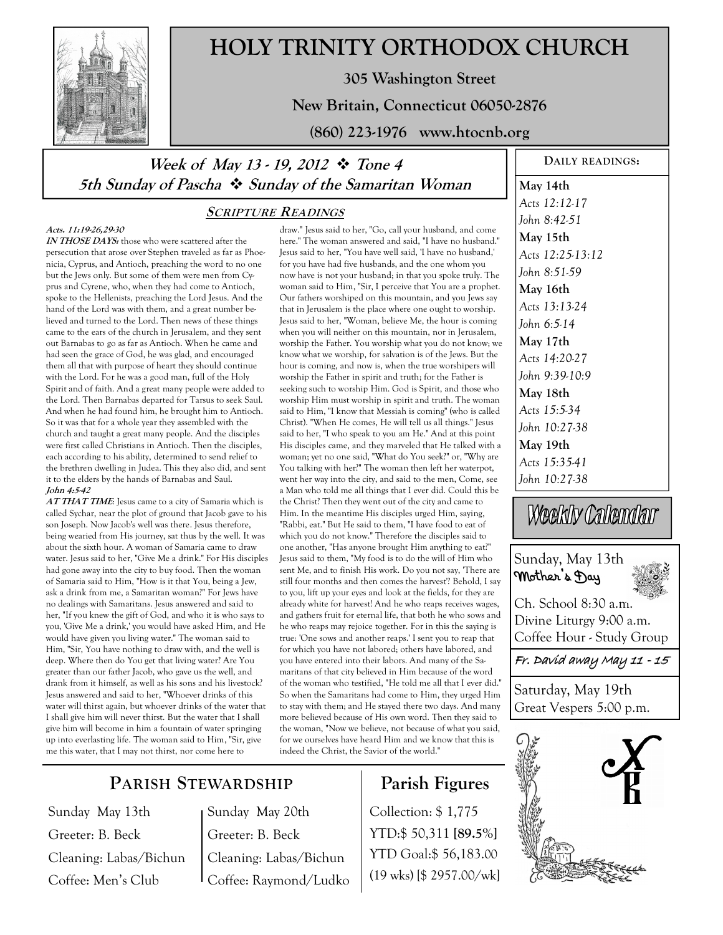

## **HOLY TRINITY ORTHODOX CHURCH**

**305 Washington Street** 

**New Britain, Connecticut 06050-2876** 

**(860) 223-1976 www.htocnb.org** 

### Week of May 13 - 19, 2012  $\div$  Tone 4 **5th Sunday of Pascha Sunday of the Samaritan Woman**

#### **Acts. 11:19-26,29-30**

**IN THOSE DAYS:** those who were scattered after the persecution that arose over Stephen traveled as far as Phoenicia, Cyprus, and Antioch, preaching the word to no one but the Jews only. But some of them were men from Cyprus and Cyrene, who, when they had come to Antioch, spoke to the Hellenists, preaching the Lord Jesus. And the hand of the Lord was with them, and a great number believed and turned to the Lord. Then news of these things came to the ears of the church in Jerusalem, and they sent out Barnabas to go as far as Antioch. When he came and had seen the grace of God, he was glad, and encouraged them all that with purpose of heart they should continue with the Lord. For he was a good man, full of the Holy Spirit and of faith. And a great many people were added to the Lord. Then Barnabas departed for Tarsus to seek Saul. And when he had found him, he brought him to Antioch. So it was that for a whole year they assembled with the church and taught a great many people. And the disciples were first called Christians in Antioch. Then the disciples, each according to his ability, determined to send relief to the brethren dwelling in Judea. This they also did, and sent it to the elders by the hands of Barnabas and Saul. **John 4:5-42** 

**AT THAT TIME**: Jesus came to a city of Samaria which is called Sychar, near the plot of ground that Jacob gave to his son Joseph. Now Jacob's well was there. Jesus therefore, being wearied from His journey, sat thus by the well. It was about the sixth hour. A woman of Samaria came to draw water. Jesus said to her, "Give Me a drink." For His disciples had gone away into the city to buy food. Then the woman of Samaria said to Him, "How is it that You, being a Jew, ask a drink from me, a Samaritan woman?" For Jews have no dealings with Samaritans. Jesus answered and said to her, "If you knew the gift of God, and who it is who says to you, 'Give Me a drink,' you would have asked Him, and He would have given you living water." The woman said to Him, "Sir, You have nothing to draw with, and the well is deep. Where then do You get that living water? Are You greater than our father Jacob, who gave us the well, and drank from it himself, as well as his sons and his livestock? Jesus answered and said to her, "Whoever drinks of this water will thirst again, but whoever drinks of the water that I shall give him will never thirst. But the water that I shall give him will become in him a fountain of water springing up into everlasting life. The woman said to Him, "Sir, give me this water, that I may not thirst, nor come here to

### **SCRIPTURE READINGS**

draw." Jesus said to her, "Go, call your husband, and come here." The woman answered and said, "I have no husband." Jesus said to her, "You have well said, 'I have no husband,' for you have had five husbands, and the one whom you now have is not your husband; in that you spoke truly. The woman said to Him, "Sir, I perceive that You are a prophet. Our fathers worshiped on this mountain, and you Jews say that in Jerusalem is the place where one ought to worship. Jesus said to her, "Woman, believe Me, the hour is coming when you will neither on this mountain, nor in Jerusalem, worship the Father. You worship what you do not know; we know what we worship, for salvation is of the Jews. But the hour is coming, and now is, when the true worshipers will worship the Father in spirit and truth; for the Father is seeking such to worship Him. God is Spirit, and those who worship Him must worship in spirit and truth. The woman said to Him, "I know that Messiah is coming" (who is called Christ). "When He comes, He will tell us all things." Jesus said to her, "I who speak to you am He." And at this point His disciples came, and they marveled that He talked with a woman; yet no one said, "What do You seek?" or, "Why are You talking with her?" The woman then left her waterpot, went her way into the city, and said to the men, Come, see a Man who told me all things that I ever did. Could this be the Christ? Then they went out of the city and came to Him. In the meantime His disciples urged Him, saying, "Rabbi, eat." But He said to them, "I have food to eat of which you do not know." Therefore the disciples said to one another, "Has anyone brought Him anything to eat?" Jesus said to them, "My food is to do the will of Him who sent Me, and to finish His work. Do you not say, 'There are still four months and then comes the harvest'? Behold, I say to you, lift up your eyes and look at the fields, for they are already white for harvest! And he who reaps receives wages, and gathers fruit for eternal life, that both he who sows and he who reaps may rejoice together. For in this the saying is true: 'One sows and another reaps.' I sent you to reap that for which you have not labored; others have labored, and you have entered into their labors. And many of the Samaritans of that city believed in Him because of the word of the woman who testified, "He told me all that I ever did." So when the Samaritans had come to Him, they urged Him to stay with them; and He stayed there two days. And many more believed because of His own word. Then they said to the woman, "Now we believe, not because of what you said, for we ourselves have heard Him and we know that this is indeed the Christ, the Savior of the world."

**May 14th**  *Acts 12:12-17 John 8:42-51*  **May 15th**  *Acts 12:25-13:12 John 8:51-59*  **May 16th**  *Acts 13:13-24 John 6:5-14*  **May 17th** 

**DAILY READINGS:** 

*Acts 14:20-27 John 9:39-10:9*  **May 18th**  *Acts 15:5-34* 

*John 10:27-38*  **May 19th**  *Acts 15:35-41* 

*John 10:27-38* 

# Weekly Calendar

### Sunday, May 13th Mother's Day



Ch. School 8:30 a.m. Divine Liturgy 9:00 a.m. Coffee Hour - Study Group

Fr. David away May 11 - 15

Saturday, May 19th Great Vespers 5:00 p.m.



### **PARISH STEWARDSHIP**

Sunday May 13th Greeter: B. Beck Cleaning: Labas/Bichun Coffee: Men's Club

Sunday May 20th Greeter: B. Beck Cleaning: Labas/Bichun Coffee: Raymond/Ludko **Parish Figures** 

Collection: \$ 1,775 YTD:\$ 50,311 **[89.5%]** YTD Goal:\$ 56,183.00 (19 wks) [\$ 2957.00/wk]